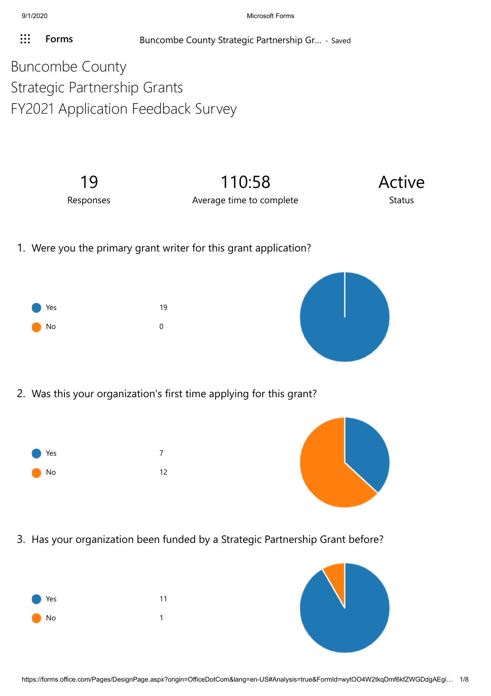**[Forms](javascript: FormsOnHeaderAppNameClick())** Buncombe County Strategic Partnership Gr... - Saved

Buncombe County Strategic Partnership Grants FY2021 Application Feedback Survey

> 19 Responses

110:58 Average time to complete



1. Were you the primary grant writer for this grant application?





2. Was this your organization's first time applying for this grant?





3. Has your organization been funded by a Strategic Partnership Grant before?



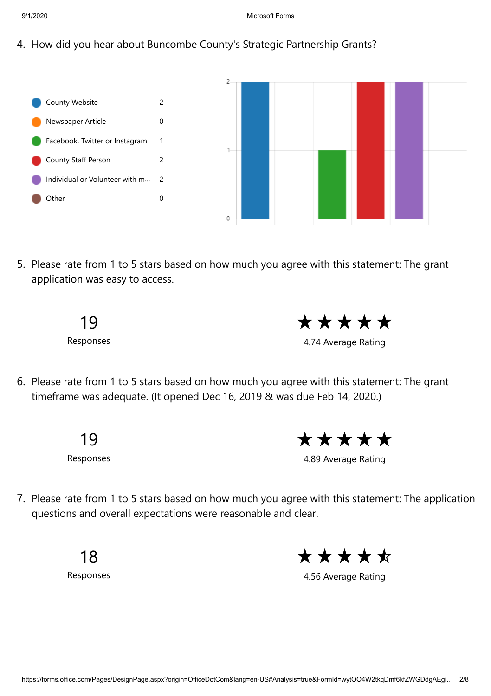4. How did you hear about Buncombe County's Strategic Partnership Grants?



5. Please rate from 1 to 5 stars based on how much you agree with this statement: The grant application was easy to access.



\*\*\*\*\*

4.74 Average Rating

6. Please rate from 1 to 5 stars based on how much you agree with this statement: The grant timeframe was adequate. (It opened Dec 16, 2019 & was due Feb 14, 2020.)

> 19 Responses

\*\*\*\*\*

4.89 Average Rating

7. Please rate from 1 to 5 stars based on how much you agree with this statement: The application questions and overall expectations were reasonable and clear.

> 18 Responses

\*\*\*\*\*

4.56 Average Rating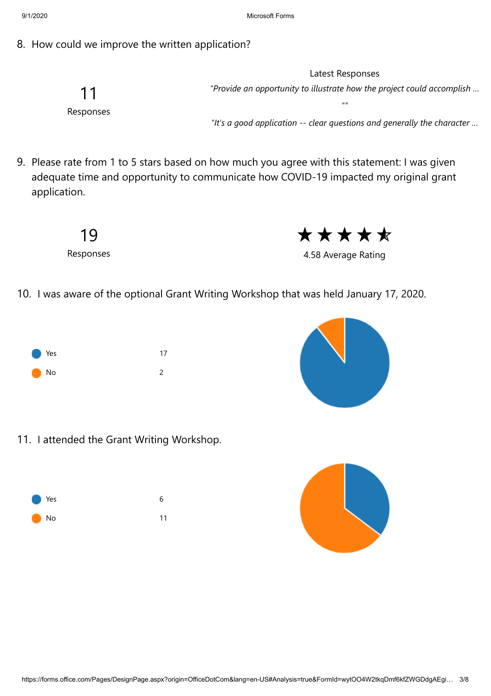8. How could we improve the written application?

11 Responses

Latest Responses *"Provide an opportunity to illustrate how the project could accomplish …*

*""*

*"It's a good application -- clear questions and generally the character …*

9. Please rate from 1 to 5 stars based on how much you agree with this statement: I was given adequate time and opportunity to communicate how COVID-19 impacted my original grant application.



\*\*\*\*\*

4.58 Average Rating

10. I was aware of the optional Grant Writing Workshop that was held January 17, 2020.





11. I attended the Grant Writing Workshop.



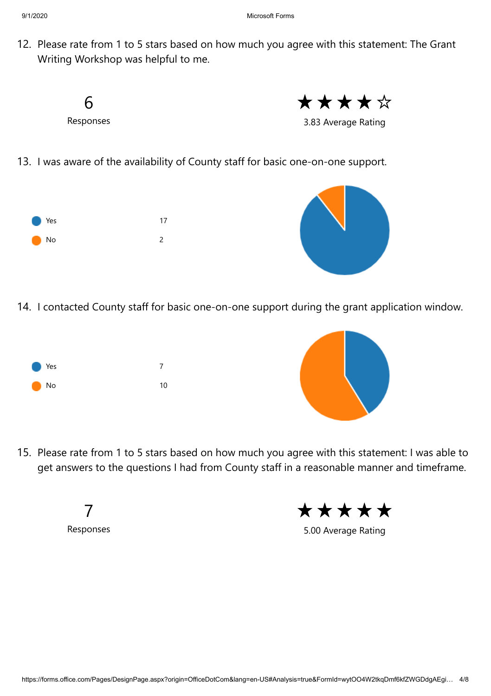12. Please rate from 1 to 5 stars based on how much you agree with this statement: The Grant Writing Workshop was helpful to me.



14. I contacted County staff for basic one-on-one support during the grant application window.





15. Please rate from 1 to 5 stars based on how much you agree with this statement: I was able to get answers to the questions I had from County staff in a reasonable manner and timeframe.

> 7 Responses

\*\*\*\*\*

5.00 Average Rating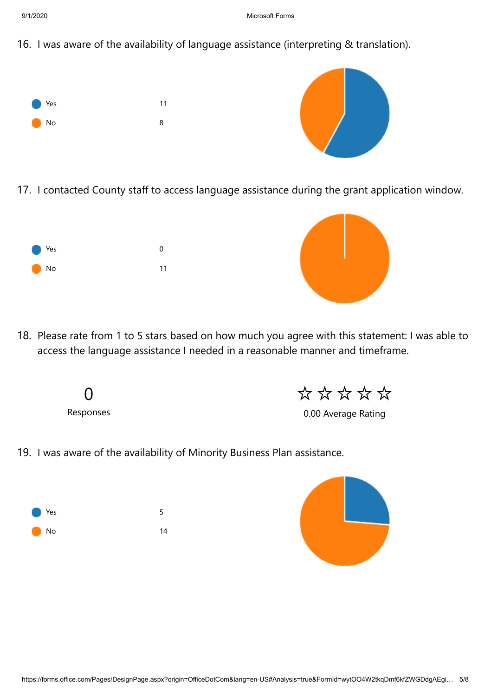9/1/2020 Microsoft Forms

16. I was aware of the availability of language assistance (interpreting & translation).



17. I contacted County staff to access language assistance during the grant application window.





18. Please rate from 1 to 5 stars based on how much you agree with this statement: I was able to access the language assistance I needed in a reasonable manner and timeframe.

> 0 Responses

\*\*\*\*\*

0.00 Average Rating

19. I was aware of the availability of Minority Business Plan assistance.



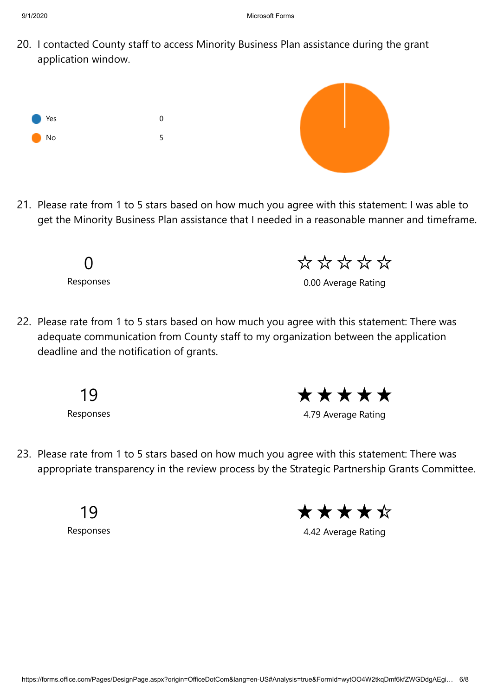20. I contacted County staff to access Minority Business Plan assistance during the grant application window.



21. Please rate from 1 to 5 stars based on how much you agree with this statement: I was able to get the Minority Business Plan assistance that I needed in a reasonable manner and timeframe.

> 0 Responses

\*\*\*\*\*\*

0.00 Average Rating

22. Please rate from 1 to 5 stars based on how much you agree with this statement: There was adequate communication from County staff to my organization between the application deadline and the notification of grants.

19

Responses

\*\*\*\*\*

4.79 Average Rating

23. Please rate from 1 to 5 stars based on how much you agree with this statement: There was appropriate transparency in the review process by the Strategic Partnership Grants Committee.

19

Responses

\*\*\*\*\*

4.42 Average Rating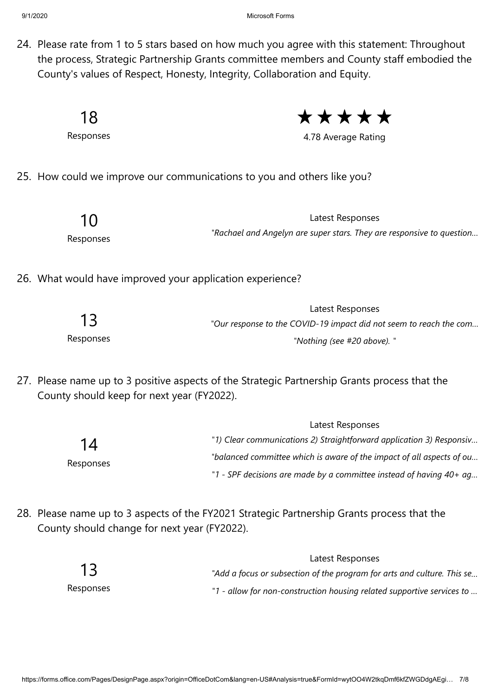9/1/2020 Microsoft Forms

24. Please rate from 1 to 5 stars based on how much you agree with this statement: Throughout the process, Strategic Partnership Grants committee members and County staff embodied the County's values of Respect, Honesty, Integrity, Collaboration and Equity.

18 Responses

\*\*\*\*\*

4.78 Average Rating

25. How could we improve our communications to you and others like you?

| 10        |
|-----------|
| Responses |

Latest Responses *"Rachael and Angelyn are super stars. They are responsive to question…*

26. What would have improved your application experience?

|           | Latest Responses                                                   |
|-----------|--------------------------------------------------------------------|
| 13        | "Our response to the COVID-19 impact did not seem to reach the com |
| Responses | "Nothing (see #20 above). "                                        |

27. Please name up to 3 positive aspects of the Strategic Partnership Grants process that the County should keep for next year (FY2022).

|                 | Latest Responses                                                      |  |
|-----------------|-----------------------------------------------------------------------|--|
| 14<br>Responses | "1) Clear communications 2) Straightforward application 3) Responsiv  |  |
|                 | "balanced committee which is aware of the impact of all aspects of ou |  |
|                 | "1 - SPF decisions are made by a committee instead of having 40+ ag   |  |

28. Please name up to 3 aspects of the FY2021 Strategic Partnership Grants process that the County should change for next year (FY2022).

|           | Latest Responses                                                        |
|-----------|-------------------------------------------------------------------------|
| 13        | "Add a focus or subsection of the program for arts and culture. This se |
| Responses | "1 - allow for non-construction housing related supportive services to  |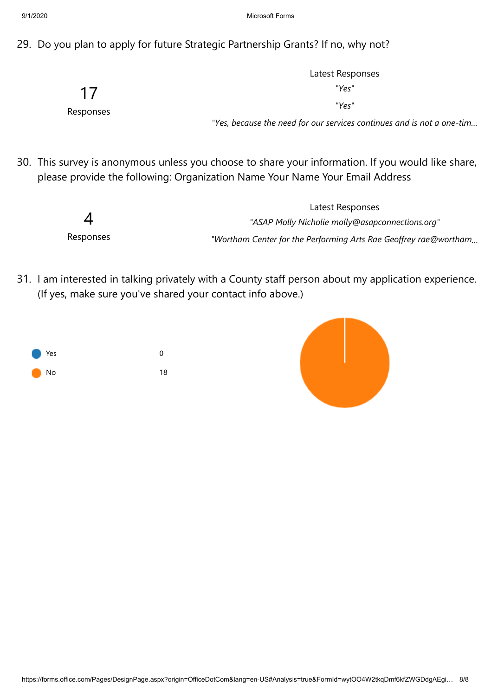29. Do you plan to apply for future Strategic Partnership Grants? If no, why not?

|           | Latest Responses                                                       |
|-----------|------------------------------------------------------------------------|
| 17        | "Yes"                                                                  |
| Responses | "Yes"                                                                  |
|           | "Yes, because the need for our services continues and is not a one-tim |

30. This survey is anonymous unless you choose to share your information. If you would like share, please provide the following: Organization Name Your Name Your Email Address

|           | Latest Responses                                                 |
|-----------|------------------------------------------------------------------|
| 4         | "ASAP Molly Nicholie molly@asapconnections.org"                  |
| Responses | "Wortham Center for the Performing Arts Rae Geoffrey rae@wortham |

31. I am interested in talking privately with a County staff person about my application experience. (If yes, make sure you've shared your contact info above.)

| <b>Nes</b> | O  |
|------------|----|
| <b>No</b>  | 18 |

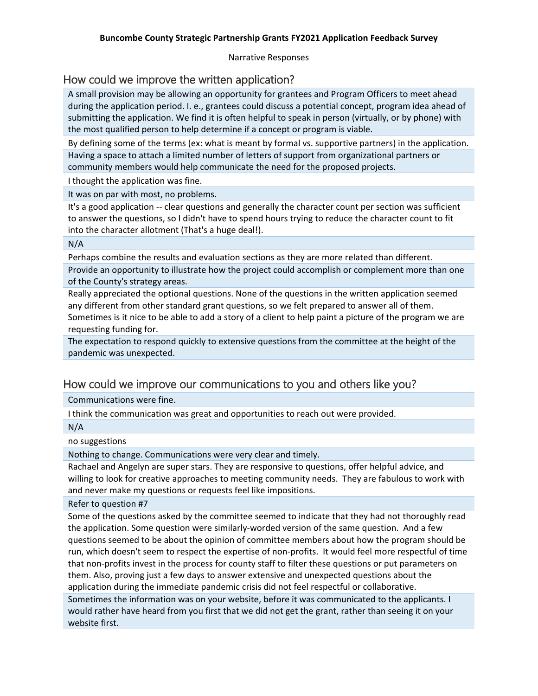Narrative Responses

## How could we improve the written application?

A small provision may be allowing an opportunity for grantees and Program Officers to meet ahead during the application period. I. e., grantees could discuss a potential concept, program idea ahead of submitting the application. We find it is often helpful to speak in person (virtually, or by phone) with the most qualified person to help determine if a concept or program is viable.

By defining some of the terms (ex: what is meant by formal vs. supportive partners) in the application. Having a space to attach a limited number of letters of support from organizational partners or community members would help communicate the need for the proposed projects.

I thought the application was fine.

It was on par with most, no problems.

It's a good application -- clear questions and generally the character count per section was sufficient to answer the questions, so I didn't have to spend hours trying to reduce the character count to fit into the character allotment (That's a huge deal!).

#### N/A

Perhaps combine the results and evaluation sections as they are more related than different.

Provide an opportunity to illustrate how the project could accomplish or complement more than one of the County's strategy areas.

Really appreciated the optional questions. None of the questions in the written application seemed any different from other standard grant questions, so we felt prepared to answer all of them. Sometimes is it nice to be able to add a story of a client to help paint a picture of the program we are requesting funding for.

The expectation to respond quickly to extensive questions from the committee at the height of the pandemic was unexpected.

# How could we improve our communications to you and others like you?

Communications were fine.

I think the communication was great and opportunities to reach out were provided.

N/A

### no suggestions

Nothing to change. Communications were very clear and timely.

Rachael and Angelyn are super stars. They are responsive to questions, offer helpful advice, and willing to look for creative approaches to meeting community needs. They are fabulous to work with and never make my questions or requests feel like impositions.

#### Refer to question #7

Some of the questions asked by the committee seemed to indicate that they had not thoroughly read the application. Some question were similarly-worded version of the same question. And a few questions seemed to be about the opinion of committee members about how the program should be run, which doesn't seem to respect the expertise of non-profits. It would feel more respectful of time that non-profits invest in the process for county staff to filter these questions or put parameters on them. Also, proving just a few days to answer extensive and unexpected questions about the application during the immediate pandemic crisis did not feel respectful or collaborative.

Sometimes the information was on your website, before it was communicated to the applicants. I would rather have heard from you first that we did not get the grant, rather than seeing it on your website first.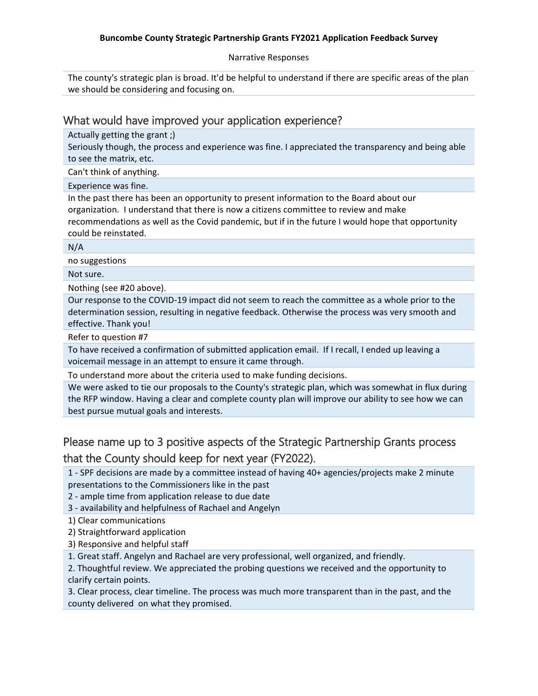#### **Buncombe County Strategic Partnership Grants FY2021 Application Feedback Survey**

Narrative Responses

The county's strategic plan is broad. It'd be helpful to understand if there are specific areas of the plan we should be considering and focusing on.

## What would have improved your application experience?

Actually getting the grant ;)

Seriously though, the process and experience was fine. I appreciated the transparency and being able to see the matrix, etc.

Can't think of anything.

#### Experience was fine.

In the past there has been an opportunity to present information to the Board about our organization. I understand that there is now a citizens committee to review and make recommendations as well as the Covid pandemic, but if in the future I would hope that opportunity could be reinstated.

#### N/A

no suggestions

Not sure.

Nothing (see #20 above).

Our response to the COVID-19 impact did not seem to reach the committee as a whole prior to the determination session, resulting in negative feedback. Otherwise the process was very smooth and effective. Thank you!

Refer to question #7

To have received a confirmation of submitted application email. If I recall, I ended up leaving a voicemail message in an attempt to ensure it came through.

To understand more about the criteria used to make funding decisions.

We were asked to tie our proposals to the County's strategic plan, which was somewhat in flux during the RFP window. Having a clear and complete county plan will improve our ability to see how we can best pursue mutual goals and interests.

# Please name up to 3 positive aspects of the Strategic Partnership Grants process that the County should keep for next year (FY2022).

1 - SPF decisions are made by a committee instead of having 40+ agencies/projects make 2 minute presentations to the Commissioners like in the past

2 - ample time from application release to due date

3 - availability and helpfulness of Rachael and Angelyn

1) Clear communications

2) Straightforward application

3) Responsive and helpful staff

1. Great staff. Angelyn and Rachael are very professional, well organized, and friendly.

2. Thoughtful review. We appreciated the probing questions we received and the opportunity to clarify certain points.

3. Clear process, clear timeline. The process was much more transparent than in the past, and the county delivered on what they promised.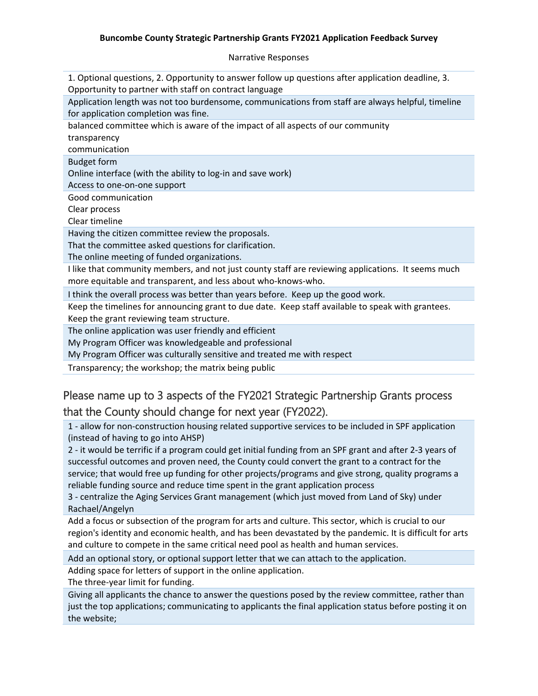#### **Buncombe County Strategic Partnership Grants FY2021 Application Feedback Survey**

Narrative Responses

1. Optional questions, 2. Opportunity to answer follow up questions after application deadline, 3. Opportunity to partner with staff on contract language

Application length was not too burdensome, communications from staff are always helpful, timeline for application completion was fine.

balanced committee which is aware of the impact of all aspects of our community

transparency

communication

Budget form

Online interface (with the ability to log-in and save work)

Access to one-on-one support

Good communication

Clear process

Clear timeline

Having the citizen committee review the proposals.

That the committee asked questions for clarification.

The online meeting of funded organizations.

I like that community members, and not just county staff are reviewing applications. It seems much more equitable and transparent, and less about who-knows-who.

I think the overall process was better than years before. Keep up the good work.

Keep the timelines for announcing grant to due date. Keep staff available to speak with grantees. Keep the grant reviewing team structure.

The online application was user friendly and efficient

My Program Officer was knowledgeable and professional

My Program Officer was culturally sensitive and treated me with respect

Transparency; the workshop; the matrix being public

# Please name up to 3 aspects of the FY2021 Strategic Partnership Grants process that the County should change for next year (FY2022).

1 - allow for non-construction housing related supportive services to be included in SPF application (instead of having to go into AHSP)

2 - it would be terrific if a program could get initial funding from an SPF grant and after 2-3 years of successful outcomes and proven need, the County could convert the grant to a contract for the service; that would free up funding for other projects/programs and give strong, quality programs a reliable funding source and reduce time spent in the grant application process

3 - centralize the Aging Services Grant management (which just moved from Land of Sky) under Rachael/Angelyn

Add a focus or subsection of the program for arts and culture. This sector, which is crucial to our region's identity and economic health, and has been devastated by the pandemic. It is difficult for arts and culture to compete in the same critical need pool as health and human services.

Add an optional story, or optional support letter that we can attach to the application.

Adding space for letters of support in the online application.

The three-year limit for funding.

Giving all applicants the chance to answer the questions posed by the review committee, rather than just the top applications; communicating to applicants the final application status before posting it on the website;